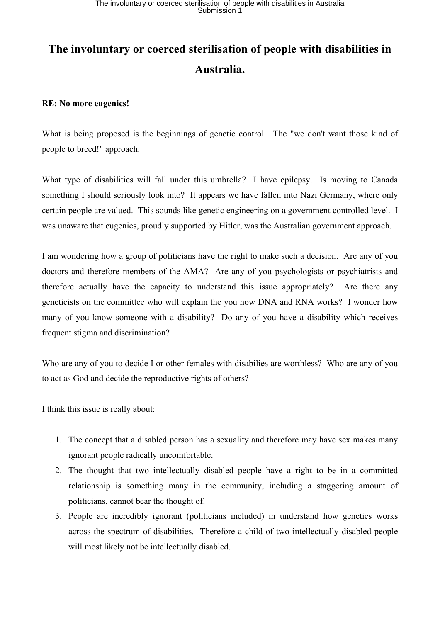## **The involuntary or coerced sterilisation of people with disabilities in Australia.**

## **RE: No more eugenics!**

What is being proposed is the beginnings of genetic control. The "we don't want those kind of people to breed!" approach.

What type of disabilities will fall under this umbrella? I have epilepsy. Is moving to Canada something I should seriously look into? It appears we have fallen into Nazi Germany, where only certain people are valued. This sounds like genetic engineering on a government controlled level. I was unaware that eugenics, proudly supported by Hitler, was the Australian government approach.

I am wondering how a group of politicians have the right to make such a decision. Are any of you doctors and therefore members of the AMA? Are any of you psychologists or psychiatrists and therefore actually have the capacity to understand this issue appropriately? Are there any geneticists on the committee who will explain the you how DNA and RNA works? I wonder how many of you know someone with a disability? Do any of you have a disability which receives frequent stigma and discrimination?

Who are any of you to decide I or other females with disabilies are worthless? Who are any of you to act as God and decide the reproductive rights of others?

I think this issue is really about:

- 1. The concept that a disabled person has a sexuality and therefore may have sex makes many ignorant people radically uncomfortable.
- 2. The thought that two intellectually disabled people have a right to be in a committed relationship is something many in the community, including a staggering amount of politicians, cannot bear the thought of.
- 3. People are incredibly ignorant (politicians included) in understand how genetics works across the spectrum of disabilities. Therefore a child of two intellectually disabled people will most likely not be intellectually disabled.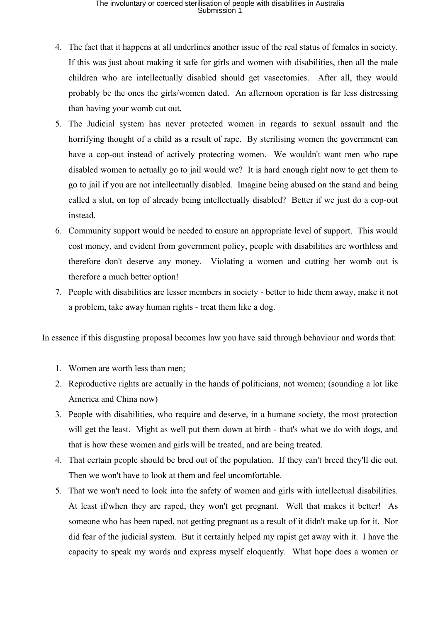## The involuntary or coerced sterilisation of people with disabilities in Australia<br>Submission 1

- 4. The fact that it happens at all underlines another issue of the real status of females in society. If this was just about making it safe for girls and women with disabilities, then all the male children who are intellectually disabled should get vasectomies. After all, they would probably be the ones the girls/women dated. An afternoon operation is far less distressing than having your womb cut out.
- 5. The Judicial system has never protected women in regards to sexual assault and the horrifying thought of a child as a result of rape. By sterilising women the government can have a cop-out instead of actively protecting women. We wouldn't want men who rape disabled women to actually go to jail would we? It is hard enough right now to get them to go to jail if you are not intellectually disabled. Imagine being abused on the stand and being called a slut, on top of already being intellectually disabled? Better if we just do a cop-out instead.
- 6. Community support would be needed to ensure an appropriate level of support. This would cost money, and evident from government policy, people with disabilities are worthless and therefore don't deserve any money. Violating a women and cutting her womb out is therefore a much better option!
- 7. People with disabilities are lesser members in society better to hide them away, make it not a problem, take away human rights - treat them like a dog.

In essence if this disgusting proposal becomes law you have said through behaviour and words that:

- 1. Women are worth less than men;
- 2. Reproductive rights are actually in the hands of politicians, not women; (sounding a lot like America and China now)
- 3. People with disabilities, who require and deserve, in a humane society, the most protection will get the least. Might as well put them down at birth - that's what we do with dogs, and that is how these women and girls will be treated, and are being treated.
- 4. That certain people should be bred out of the population. If they can't breed they'll die out. Then we won't have to look at them and feel uncomfortable.
- 5. That we won't need to look into the safety of women and girls with intellectual disabilities. At least if/when they are raped, they won't get pregnant. Well that makes it better! As someone who has been raped, not getting pregnant as a result of it didn't make up for it. Nor did fear of the judicial system. But it certainly helped my rapist get away with it. I have the capacity to speak my words and express myself eloquently. What hope does a women or